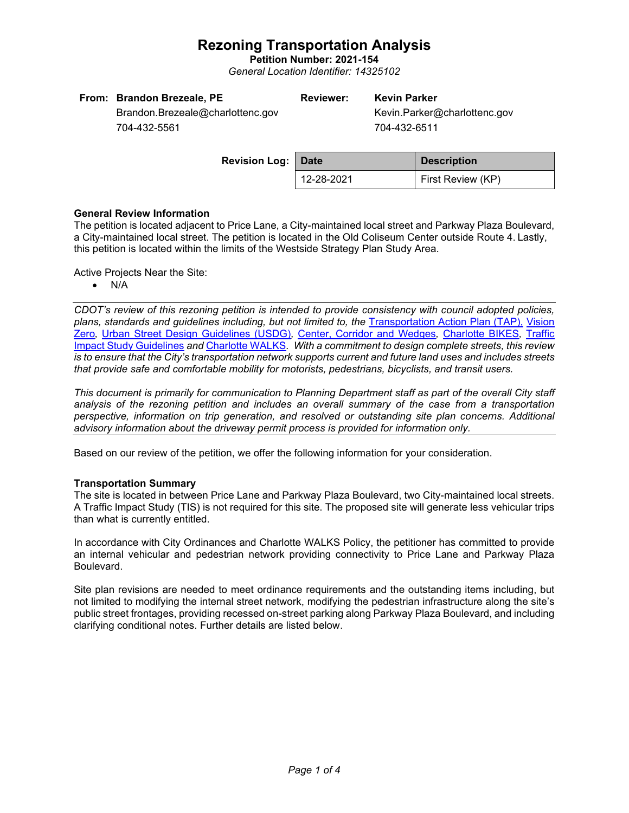**Petition Number: 2021-154** *General Location Identifier: 14325102*

| From: Brandon Brezeale, PE       | <b>Reviewer:</b> | <b>Kevin Parker</b> |                              |
|----------------------------------|------------------|---------------------|------------------------------|
| Brandon.Brezeale@charlottenc.gov |                  |                     | Kevin.Parker@charlottenc.gov |
| 704-432-5561                     |                  | 704-432-6511        |                              |
|                                  |                  |                     |                              |
| <b>But the Hotel Bell</b>        |                  |                     |                              |

| <b>Revision Log:   Date</b> |            | <b>Description</b>       |  |  |
|-----------------------------|------------|--------------------------|--|--|
|                             | 12-28-2021 | <b>First Review (KP)</b> |  |  |

### **General Review Information**

The petition is located adjacent to Price Lane, a City-maintained local street and Parkway Plaza Boulevard, a City-maintained local street. The petition is located in the Old Coliseum Center outside Route 4. Lastly, this petition is located within the limits of the Westside Strategy Plan Study Area.

Active Projects Near the Site:

• N/A

*CDOT's review of this rezoning petition is intended to provide consistency with council adopted policies, plans, standards and guidelines including, but not limited to, the* [Transportation Action Plan \(TAP\),](https://charlottenc.gov/Transportation/Programs/Pages/TransportationActionPlan.aspx) [Vision](https://charlottenc.gov/VisionZero/Pages/VisionZero.aspx)  [Zero](https://charlottenc.gov/VisionZero/Pages/VisionZero.aspx)*,* [Urban Street Design Guidelines \(USDG\)](https://charlottenc.gov/Transportation/PlansProjects/Documents/USDG%20Full%20Document.pdf)*,* [Center, Corridor and Wedges](http://ww.charmeck.org/Planning/Land%20Use%20Planning/CentersCorridorsWedges/CentersCorridorsWedges(Adopted).pdf)*,* [Charlotte BIKES](https://charlottenc.gov/Transportation/Programs/Pages/Bicycle.aspx)*,* [Traffic](https://charlottenc.gov/Transportation/Permits/Documents/TISProcessandGuildlines.pdf)  [Impact Study Guidelines](https://charlottenc.gov/Transportation/Permits/Documents/TISProcessandGuildlines.pdf) *and* [Charlotte WALKS](https://charlottenc.gov/Transportation/Programs/Pages/CharlotteWalks.aspx)*. With a commitment to design complete streets, this review is to ensure that the City's transportation network supports current and future land uses and includes streets that provide safe and comfortable mobility for motorists, pedestrians, bicyclists, and transit users.*

*This document is primarily for communication to Planning Department staff as part of the overall City staff analysis of the rezoning petition and includes an overall summary of the case from a transportation perspective, information on trip generation, and resolved or outstanding site plan concerns. Additional advisory information about the driveway permit process is provided for information only.*

Based on our review of the petition, we offer the following information for your consideration.

### **Transportation Summary**

The site is located in between Price Lane and Parkway Plaza Boulevard, two City-maintained local streets. A Traffic Impact Study (TIS) is not required for this site. The proposed site will generate less vehicular trips than what is currently entitled.

In accordance with City Ordinances and Charlotte WALKS Policy, the petitioner has committed to provide an internal vehicular and pedestrian network providing connectivity to Price Lane and Parkway Plaza Boulevard.

Site plan revisions are needed to meet ordinance requirements and the outstanding items including, but not limited to modifying the internal street network, modifying the pedestrian infrastructure along the site's public street frontages, providing recessed on-street parking along Parkway Plaza Boulevard, and including clarifying conditional notes. Further details are listed below.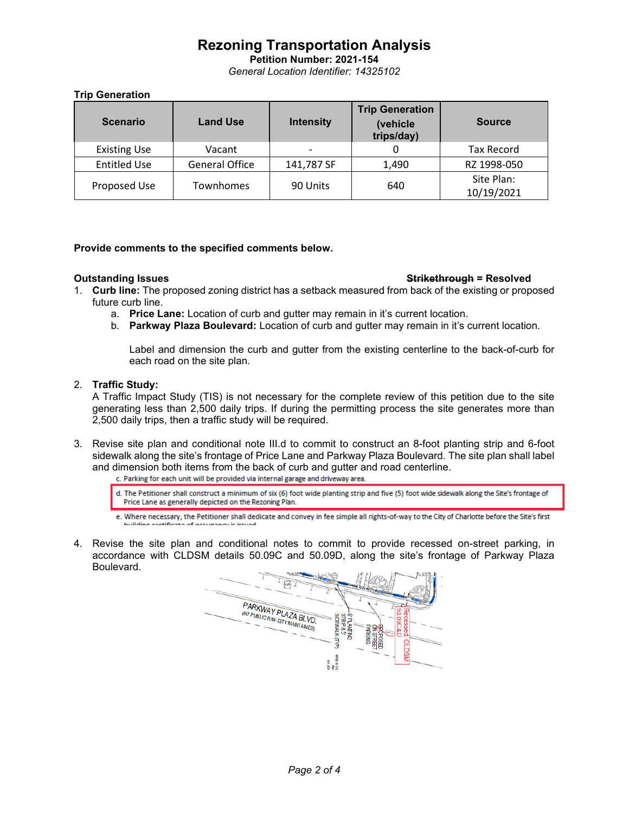**Petition Number: 2021-154** *General Location Identifier: 14325102*

## **Trip Generation**

| <b>Scenario</b>     | <b>Land Use</b>       | <b>Intensity</b>         | <b>Trip Generation</b><br>(vehicle<br>trips/day) | <b>Source</b>            |
|---------------------|-----------------------|--------------------------|--------------------------------------------------|--------------------------|
| <b>Existing Use</b> | Vacant                | $\overline{\phantom{0}}$ |                                                  | <b>Tax Record</b>        |
| <b>Entitled Use</b> | <b>General Office</b> | 141,787 SF               | 1,490                                            | RZ 1998-050              |
| Proposed Use        | Townhomes             | 90 Units                 | 640                                              | Site Plan:<br>10/19/2021 |

## **Provide comments to the specified comments below.**

### **Outstanding Issues Strikethrough = Resolved**

- 1. **Curb line:** The proposed zoning district has a setback measured from back of the existing or proposed future curb line.
	- a. **Price Lane:** Location of curb and gutter may remain in it's current location.
	- b. **Parkway Plaza Boulevard:** Location of curb and gutter may remain in it's current location.

Label and dimension the curb and gutter from the existing centerline to the back-of-curb for each road on the site plan.

## 2. **Traffic Study:**

A Traffic Impact Study (TIS) is not necessary for the complete review of this petition due to the site generating less than 2,500 daily trips. If during the permitting process the site generates more than 2,500 daily trips, then a traffic study will be required.

3. Revise site plan and conditional note III.d to commit to construct an 8-foot planting strip and 6-foot sidewalk along the site's frontage of Price Lane and Parkway Plaza Boulevard. The site plan shall label and dimension both items from the back of curb and gutter and road centerline.<br>c. Parking for each unit will be provided via internal garage and driveway area.

- d. The Petitioner shall construct a minimum of six (6) foot wide planting strip and five (5) foot wide sidewalk along the Site's frontage of Price Lane as generally depicted on the Rezoning Plan.
- e. Where necessary, the Petitioner shall dedicate and convey in fee simple all rights-of-way to the City of Charlotte before the Site's first
- 4. Revise the site plan and conditional notes to commit to provide recessed on-street parking, in accordance with CLDSM details 50.09C and 50.09D, along the site's frontage of Parkway Plaza Boulevard.

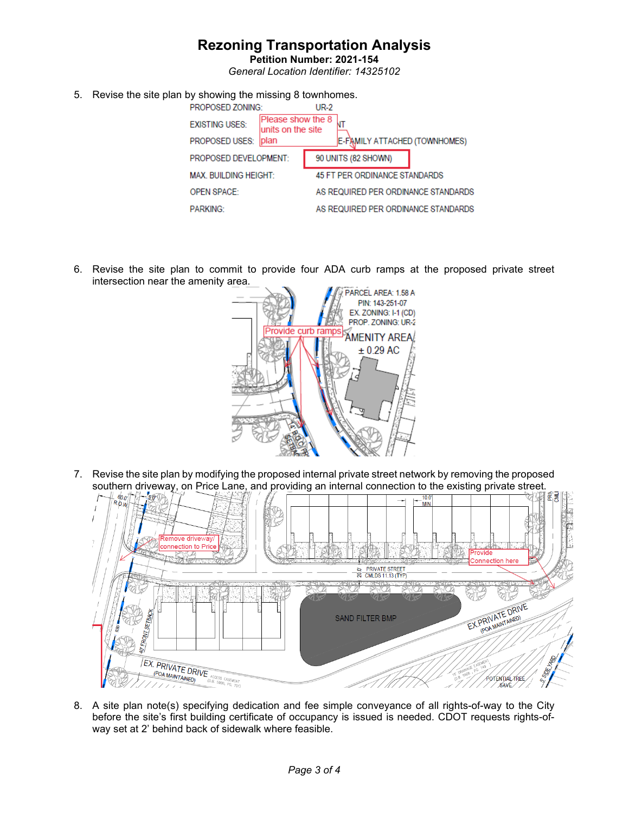**Petition Number: 2021-154** *General Location Identifier: 14325102*

5. Revise the site plan by showing the missing 8 townhomes.

|                              | PROPOSED ZONING:      |                                        | <b>UR-2</b> |                                     |
|------------------------------|-----------------------|----------------------------------------|-------------|-------------------------------------|
|                              | <b>EXISTING USES:</b> | Please show the 8<br>units on the site |             |                                     |
|                              | PROPOSED USES:        | <b>plan</b>                            |             | E-FAMILY ATTACHED (TOWNHOMES)       |
| <b>PROPOSED DEVELOPMENT:</b> |                       | 90 UNITS (82 SHOWN)                    |             |                                     |
| <b>MAX. BUILDING HEIGHT:</b> |                       | 45 FT PER ORDINANCE STANDARDS          |             |                                     |
|                              | <b>OPEN SPACE:</b>    |                                        |             | AS REQUIRED PER ORDINANCE STANDARDS |
|                              | <b>PARKING:</b>       |                                        |             | AS REQUIRED PER ORDINANCE STANDARDS |
|                              |                       |                                        |             |                                     |

6. Revise the site plan to commit to provide four ADA curb ramps at the proposed private street intersection near the amenity area.



7. Revise the site plan by modifying the proposed internal private street network by removing the proposed



8. A site plan note(s) specifying dedication and fee simple conveyance of all rights-of-way to the City before the site's first building certificate of occupancy is issued is needed. CDOT requests rights-ofway set at 2' behind back of sidewalk where feasible.